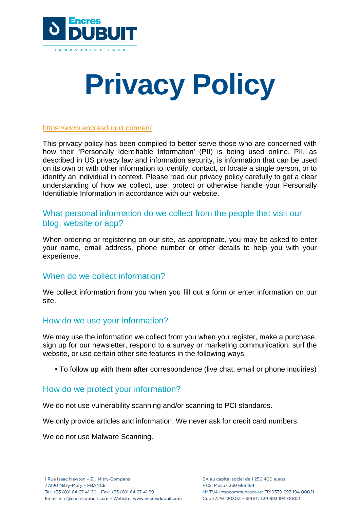

# **Privacy Policy**

#### <https://www.encresdubuit.com/en/>

This privacy policy has been compiled to better serve those who are concerned with how their 'Personally Identifiable Information' (PII) is being used online. PII, as described in US privacy law and information security, is information that can be used on its own or with other information to identify, contact, or locate a single person, or to identify an individual in context. Please read our privacy policy carefully to get a clear understanding of how we collect, use, protect or otherwise handle your Personally Identifiable Information in accordance with our website.

## What personal information do we collect from the people that visit our blog, website or app?

When ordering or registering on our site, as appropriate, you may be asked to enter your name, email address, phone number or other details to help you with your experience.

## When do we collect information?

We collect information from you when you fill out a form or enter information on our site.

## How do we use your information?

We may use the information we collect from you when you register, make a purchase, sign up for our newsletter, respond to a survey or marketing communication, surf the website, or use certain other site features in the following ways:

**•** To follow up with them after correspondence (live chat, email or phone inquiries)

## How do we protect your information?

We do not use vulnerability scanning and/or scanning to PCI standards.

We only provide articles and information. We never ask for credit card numbers.

We do not use Malware Scanning.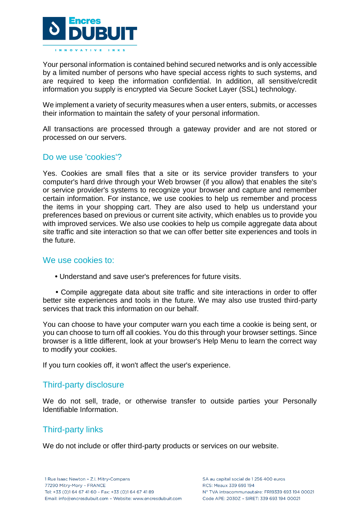

Your personal information is contained behind secured networks and is only accessible by a limited number of persons who have special access rights to such systems, and are required to keep the information confidential. In addition, all sensitive/credit information you supply is encrypted via Secure Socket Layer (SSL) technology.

We implement a variety of security measures when a user enters, submits, or accesses their information to maintain the safety of your personal information.

All transactions are processed through a gateway provider and are not stored or processed on our servers.

## Do we use 'cookies'?

Yes. Cookies are small files that a site or its service provider transfers to your computer's hard drive through your Web browser (if you allow) that enables the site's or service provider's systems to recognize your browser and capture and remember certain information. For instance, we use cookies to help us remember and process the items in your shopping cart. They are also used to help us understand your preferences based on previous or current site activity, which enables us to provide you with improved services. We also use cookies to help us compile aggregate data about site traffic and site interaction so that we can offer better site experiences and tools in the future.

## We use cookies to:

**•** Understand and save user's preferences for future visits.

**•** Compile aggregate data about site traffic and site interactions in order to offer better site experiences and tools in the future. We may also use trusted third-party services that track this information on our behalf.

You can choose to have your computer warn you each time a cookie is being sent, or you can choose to turn off all cookies. You do this through your browser settings. Since browser is a little different, look at your browser's Help Menu to learn the correct way to modify your cookies.

If you turn cookies off, it won't affect the user's experience.

## Third-party disclosure

We do not sell, trade, or otherwise transfer to outside parties your Personally Identifiable Information.

## Third-party links

We do not include or offer third-party products or services on our website.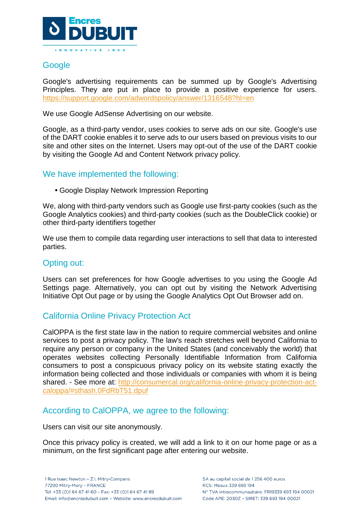

## **Google**

Google's advertising requirements can be summed up by Google's Advertising Principles. They are put in place to provide a positive experience for users. <https://support.google.com/adwordspolicy/answer/1316548?hl=en>

We use Google AdSense Advertising on our website.

Google, as a third-party vendor, uses cookies to serve ads on our site. Google's use of the DART cookie enables it to serve ads to our users based on previous visits to our site and other sites on the Internet. Users may opt-out of the use of the DART cookie by visiting the Google Ad and Content Network privacy policy.

## We have implemented the following:

**•** Google Display Network Impression Reporting

We, along with third-party vendors such as Google use first-party cookies (such as the Google Analytics cookies) and third-party cookies (such as the DoubleClick cookie) or other third-party identifiers together

We use them to compile data regarding user interactions to sell that data to interested parties.

## Opting out:

Users can set preferences for how Google advertises to you using the Google Ad Settings page. Alternatively, you can opt out by visiting the Network Advertising Initiative Opt Out page or by using the Google Analytics Opt Out Browser add on.

## California Online Privacy Protection Act

CalOPPA is the first state law in the nation to require commercial websites and online services to post a privacy policy. The law's reach stretches well beyond California to require any person or company in the United States (and conceivably the world) that operates websites collecting Personally Identifiable Information from California consumers to post a conspicuous privacy policy on its website stating exactly the information being collected and those individuals or companies with whom it is being shared. - See more at: [http://consumercal.org/california-online-privacy-protection-act](http://consumercal.org/california-online-privacy-protection-act-caloppa/#sthash.0FdRbT51.dpuf)[caloppa/#sthash.0FdRbT51.dpuf](http://consumercal.org/california-online-privacy-protection-act-caloppa/#sthash.0FdRbT51.dpuf)

## According to CalOPPA, we agree to the following:

Users can visit our site anonymously.

Once this privacy policy is created, we will add a link to it on our home page or as a minimum, on the first significant page after entering our website.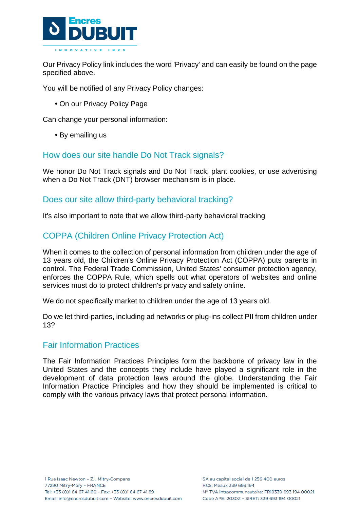

Our Privacy Policy link includes the word 'Privacy' and can easily be found on the page specified above.

You will be notified of any Privacy Policy changes:

**•** On our Privacy Policy Page

Can change your personal information:

**•** By emailing us

## How does our site handle Do Not Track signals?

We honor Do Not Track signals and Do Not Track, plant cookies, or use advertising when a Do Not Track (DNT) browser mechanism is in place.

## Does our site allow third-party behavioral tracking?

It's also important to note that we allow third-party behavioral tracking

## COPPA (Children Online Privacy Protection Act)

When it comes to the collection of personal information from children under the age of 13 years old, the Children's Online Privacy Protection Act (COPPA) puts parents in control. The Federal Trade Commission, United States' consumer protection agency, enforces the COPPA Rule, which spells out what operators of websites and online services must do to protect children's privacy and safety online.

We do not specifically market to children under the age of 13 years old.

Do we let third-parties, including ad networks or plug-ins collect PII from children under 13?

## Fair Information Practices

The Fair Information Practices Principles form the backbone of privacy law in the United States and the concepts they include have played a significant role in the development of data protection laws around the globe. Understanding the Fair Information Practice Principles and how they should be implemented is critical to comply with the various privacy laws that protect personal information.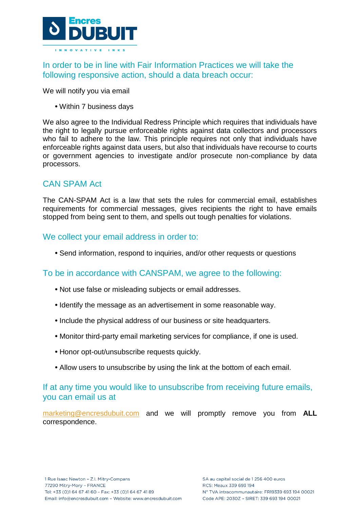

In order to be in line with Fair Information Practices we will take the following responsive action, should a data breach occur:

We will notify you via email

**•** Within 7 business days

We also agree to the Individual Redress Principle which requires that individuals have the right to legally pursue enforceable rights against data collectors and processors who fail to adhere to the law. This principle requires not only that individuals have enforceable rights against data users, but also that individuals have recourse to courts or government agencies to investigate and/or prosecute non-compliance by data processors.

## CAN SPAM Act

The CAN-SPAM Act is a law that sets the rules for commercial email, establishes requirements for commercial messages, gives recipients the right to have emails stopped from being sent to them, and spells out tough penalties for violations.

## We collect your email address in order to:

**•** Send information, respond to inquiries, and/or other requests or questions

## To be in accordance with CANSPAM, we agree to the following:

- **•** Not use false or misleading subjects or email addresses.
- **•** Identify the message as an advertisement in some reasonable way.
- **•** Include the physical address of our business or site headquarters.
- **•** Monitor third-party email marketing services for compliance, if one is used.
- **•** Honor opt-out/unsubscribe requests quickly.
- **•** Allow users to unsubscribe by using the link at the bottom of each email.

## If at any time you would like to unsubscribe from receiving future emails, you can email us at

[marketing@encresdubuit.com](mailto:marketing@encresdubuit.com) and we will promptly remove you from **ALL** correspondence.